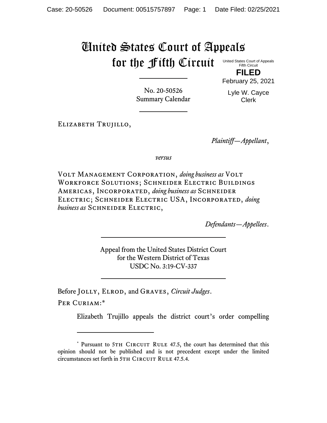# United States Court of Appeals for the Fifth Circuit

United States Court of Appeals Fifth Circuit

**FILED** February 25, 2021

No. 20-50526 Summary Calendar Lyle W. Cayce Clerk

Elizabeth Trujillo,

*Plaintiff—Appellant*,

*versus*

Volt Management Corporation, *doing business as* Volt Workforce Solutions; Schneider Electric Buildings Americas, Incorporated, *doing business as* Schneider Electric; Schneider Electric USA, Incorporated, *doing business as* Schneider Electric,

*Defendants—Appellees*.

Appeal from the United States District Court for the Western District of Texas USDC No. 3:19-CV-337

Before Jolly, Elrod, and Graves, *Circuit Judges*.

PER CURIAM:\*

Elizabeth Trujillo appeals the district court's order compelling

<sup>\*</sup> Pursuant to 5TH CIRCUIT RULE 47.5, the court has determined that this opinion should not be published and is not precedent except under the limited circumstances set forth in 5TH CIRCUIT RULE 47.5.4.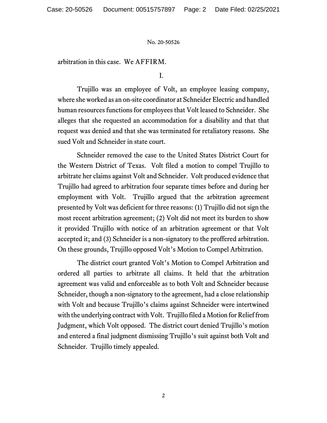arbitration in this case. We AFFIRM.

I.

Trujillo was an employee of Volt, an employee leasing company, where she worked as an on-site coordinator at Schneider Electric and handled human resources functions for employees that Volt leased to Schneider. She alleges that she requested an accommodation for a disability and that that request was denied and that she was terminated for retaliatory reasons. She sued Volt and Schneider in state court.

Schneider removed the case to the United States District Court for the Western District of Texas. Volt filed a motion to compel Trujillo to arbitrate her claims against Volt and Schneider. Volt produced evidence that Trujillo had agreed to arbitration four separate times before and during her employment with Volt. Trujillo argued that the arbitration agreement presented by Volt was deficient for three reasons: (1) Trujillo did not sign the most recent arbitration agreement; (2) Volt did not meet its burden to show it provided Trujillo with notice of an arbitration agreement or that Volt accepted it; and (3) Schneider is a non-signatory to the proffered arbitration. On these grounds, Trujillo opposed Volt's Motion to Compel Arbitration.

The district court granted Volt's Motion to Compel Arbitration and ordered all parties to arbitrate all claims. It held that the arbitration agreement was valid and enforceable as to both Volt and Schneider because Schneider, though a non-signatory to the agreement, had a close relationship with Volt and because Trujillo's claims against Schneider were intertwined with the underlying contract with Volt. Trujillo filed a Motion for Relief from Judgment, which Volt opposed. The district court denied Trujillo's motion and entered a final judgment dismissing Trujillo's suit against both Volt and Schneider. Trujillo timely appealed.

2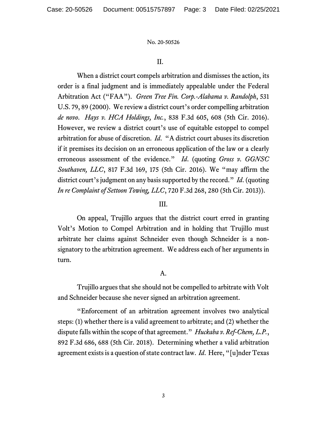### II.

When a district court compels arbitration and dismisses the action, its order is a final judgment and is immediately appealable under the Federal Arbitration Act ("FAA"). *Green Tree Fin. Corp.-Alabama v. Randolph*, 531 U.S. 79, 89 (2000). We review a district court's order compelling arbitration *de novo*. *Hays v. HCA Holdings, Inc.*, 838 F.3d 605, 608 (5th Cir. 2016). However, we review a district court's use of equitable estoppel to compel arbitration for abuse of discretion. *Id*. "A district court abuses its discretion if it premises its decision on an erroneous application of the law or a clearly erroneous assessment of the evidence." *Id*. (quoting *Gross v. GGNSC Southaven, LLC*, 817 F.3d 169, 175 (5th Cir. 2016). We "may affirm the district court's judgment on any basis supported by the record." *Id*. (quoting *In re Complaint of Settoon Towing, LLC*, 720 F.3d 268, 280 (5th Cir. 2013)).

## III.

On appeal, Trujillo argues that the district court erred in granting Volt's Motion to Compel Arbitration and in holding that Trujillo must arbitrate her claims against Schneider even though Schneider is a nonsignatory to the arbitration agreement. We address each of her arguments in turn.

# A.

Trujillo argues that she should not be compelled to arbitrate with Volt and Schneider because she never signed an arbitration agreement.

"Enforcement of an arbitration agreement involves two analytical steps: (1) whether there is a valid agreement to arbitrate; and (2) whether the dispute falls within the scope of that agreement." *Huckaba v. Ref-Chem, L.P.*, 892 F.3d 686, 688 (5th Cir. 2018). Determining whether a valid arbitration agreement existsis a question of state contract law. *Id*. Here, "[u]nder Texas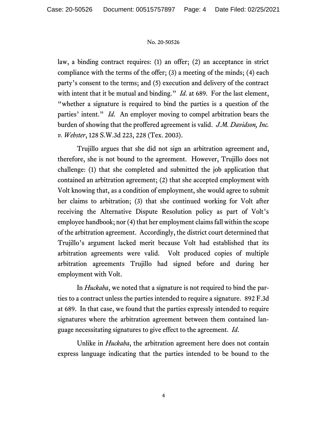law, a binding contract requires: (1) an offer; (2) an acceptance in strict compliance with the terms of the offer; (3) a meeting of the minds; (4) each party's consent to the terms; and (5) execution and delivery of the contract with intent that it be mutual and binding." *Id.* at 689. For the last element, "whether a signature is required to bind the parties is a question of the parties' intent." *Id*. An employer moving to compel arbitration bears the burden of showing that the proffered agreement is valid. *J.M. Davidson, Inc. v. Webster*, 128 S.W.3d 223, 228 (Tex. 2003).

Trujillo argues that she did not sign an arbitration agreement and, therefore, she is not bound to the agreement. However, Trujillo does not challenge: (1) that she completed and submitted the job application that contained an arbitration agreement; (2) that she accepted employment with Volt knowing that, as a condition of employment, she would agree to submit her claims to arbitration; (3) that she continued working for Volt after receiving the Alternative Dispute Resolution policy as part of Volt's employee handbook; nor (4) that her employment claims fall within the scope of the arbitration agreement. Accordingly, the district court determined that Trujillo's argument lacked merit because Volt had established that its arbitration agreements were valid. Volt produced copies of multiple arbitration agreements Trujillo had signed before and during her employment with Volt.

In *Huckaba*, we noted that a signature is not required to bind the parties to a contract unless the parties intended to require a signature. 892 F.3d at 689. In that case, we found that the parties expressly intended to require signatures where the arbitration agreement between them contained language necessitating signatures to give effect to the agreement. *Id*.

Unlike in *Huckaba*, the arbitration agreement here does not contain express language indicating that the parties intended to be bound to the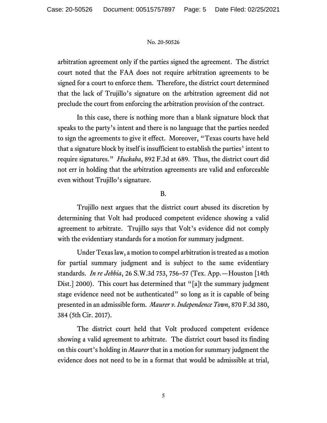arbitration agreement only if the parties signed the agreement. The district court noted that the FAA does not require arbitration agreements to be signed for a court to enforce them. Therefore, the district court determined that the lack of Trujillo's signature on the arbitration agreement did not preclude the court from enforcing the arbitration provision of the contract.

In this case, there is nothing more than a blank signature block that speaks to the party's intent and there is no language that the parties needed to sign the agreements to give it effect. Moreover, "Texas courts have held that a signature block by itself is insufficient to establish the parties' intent to require signatures." *Huckaba*, 892 F.3d at 689. Thus, the district court did not err in holding that the arbitration agreements are valid and enforceable even without Trujillo's signature.

## B.

Trujillo next argues that the district court abused its discretion by determining that Volt had produced competent evidence showing a valid agreement to arbitrate. Trujillo says that Volt's evidence did not comply with the evidentiary standards for a motion for summary judgment.

Under Texas law, a motion to compel arbitration is treated as a motion for partial summary judgment and is subject to the same evidentiary standards. *In re Jebbia*, 26 S.W.3d 753, 756–57 (Tex. App.—Houston [14th Dist.] 2000). This court has determined that "[a]t the summary judgment stage evidence need not be authenticated" so long as it is capable of being presented in an admissible form. *Maurer v. Independence Town*, 870 F.3d 380, 384 (5th Cir. 2017).

The district court held that Volt produced competent evidence showing a valid agreement to arbitrate. The district court based its finding on this court's holding in *Maurer* that in a motion for summary judgment the evidence does not need to be in a format that would be admissible at trial,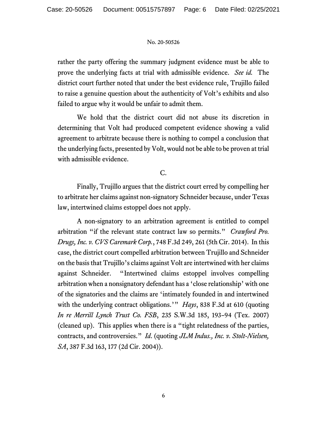rather the party offering the summary judgment evidence must be able to prove the underlying facts at trial with admissible evidence. *See id.* The district court further noted that under the best evidence rule, Trujillo failed to raise a genuine question about the authenticity of Volt's exhibits and also failed to argue why it would be unfair to admit them.

We hold that the district court did not abuse its discretion in determining that Volt had produced competent evidence showing a valid agreement to arbitrate because there is nothing to compel a conclusion that the underlying facts, presented by Volt, would not be able to be proven at trial with admissible evidence.

C.

Finally, Trujillo argues that the district court erred by compelling her to arbitrate her claims against non-signatory Schneider because, under Texas law, intertwined claims estoppel does not apply.

A non-signatory to an arbitration agreement is entitled to compel arbitration "if the relevant state contract law so permits." *Crawford Pro. Drugs, Inc. v. CVS Caremark Corp.*, 748 F.3d 249, 261 (5th Cir. 2014). In this case, the district court compelled arbitration between Trujillo and Schneider on the basis that Trujillo's claims against Volt are intertwined with her claims against Schneider. "Intertwined claims estoppel involves compelling arbitration when a nonsignatory defendant has a 'close relationship' with one of the signatories and the claims are 'intimately founded in and intertwined with the underlying contract obligations.'" *Hays*, 838 F.3d at 610 (quoting *In re Merrill Lynch Trust Co. FSB*, 235 S.W.3d 185, 193–94 (Tex. 2007) (cleaned up). This applies when there is a "tight relatedness of the parties, contracts, and controversies." *Id*. (quoting *JLM Indus., Inc. v. Stolt-Nielsen, SA*, 387 F.3d 163, 177 (2d Cir. 2004)).